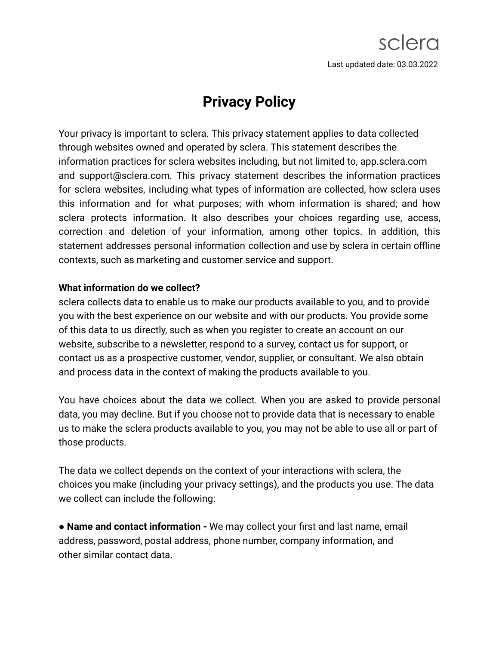# **Privacy Policy**

Your privacy is important to sclera. This privacy statement applies to data collected through websites owned and operated by sclera. This statement describes the information practices for sclera websites including, but not limited to, app.sclera.com and support@sclera.com. This privacy statement describes the information practices for sclera websites, including what types of information are collected, how sclera uses this information and for what purposes; with whom information is shared; and how sclera protects information. It also describes your choices regarding use, access, correction and deletion of your information, among other topics. In addition, this statement addresses personal information collection and use by sclera in certain offline contexts, such as marketing and customer service and support.

# **What information do we collect?**

sclera collects data to enable us to make our products available to you, and to provide you with the best experience on our website and with our products. You provide some of this data to us directly, such as when you register to create an account on our website, subscribe to a newsletter, respond to a survey, contact us for support, or contact us as a prospective customer, vendor, supplier, or consultant. We also obtain and process data in the context of making the products available to you.

You have choices about the data we collect. When you are asked to provide personal data, you may decline. But if you choose not to provide data that is necessary to enable us to make the sclera products available to you, you may not be able to use all or part of those products.

The data we collect depends on the context of your interactions with sclera, the choices you make (including your privacy settings), and the products you use. The data we collect can include the following:

● **Name and contact information -** We may collect your first and last name, email address, password, postal address, phone number, company information, and other similar contact data.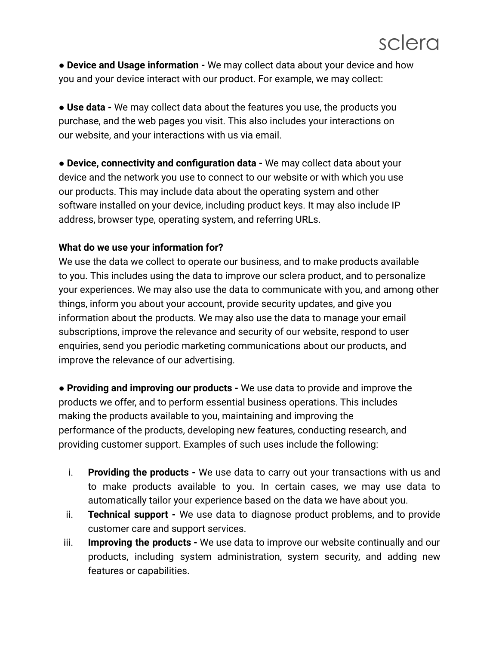● **Device and Usage information -** We may collect data about your device and how you and your device interact with our product. For example, we may collect:

● **Use data -** We may collect data about the features you use, the products you purchase, and the web pages you visit. This also includes your interactions on our website, and your interactions with us via email.

● **Device, connectivity and configuration data -** We may collect data about your device and the network you use to connect to our website or with which you use our products. This may include data about the operating system and other software installed on your device, including product keys. It may also include IP address, browser type, operating system, and referring URLs.

# **What do we use your information for?**

We use the data we collect to operate our business, and to make products available to you. This includes using the data to improve our sclera product, and to personalize your experiences. We may also use the data to communicate with you, and among other things, inform you about your account, provide security updates, and give you information about the products. We may also use the data to manage your email subscriptions, improve the relevance and security of our website, respond to user enquiries, send you periodic marketing communications about our products, and improve the relevance of our advertising.

● **Providing and improving our products -** We use data to provide and improve the products we offer, and to perform essential business operations. This includes making the products available to you, maintaining and improving the performance of the products, developing new features, conducting research, and providing customer support. Examples of such uses include the following:

- i. **Providing the products -** We use data to carry out your transactions with us and to make products available to you. In certain cases, we may use data to automatically tailor your experience based on the data we have about you.
- ii. **Technical support -** We use data to diagnose product problems, and to provide customer care and support services.
- iii. **Improving the products -** We use data to improve our website continually and our products, including system administration, system security, and adding new features or capabilities.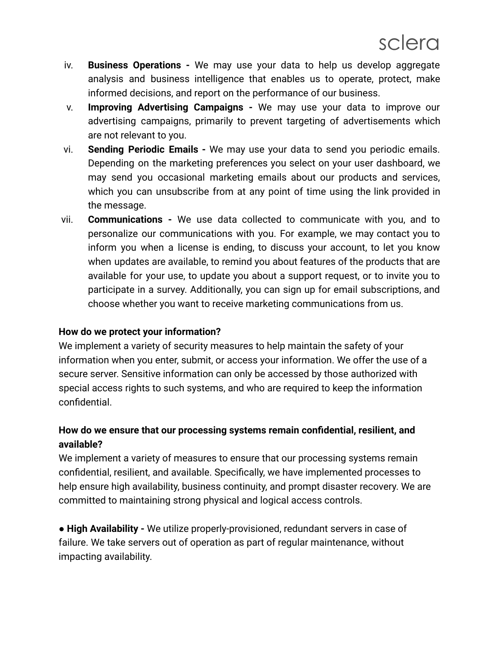- iv. **Business Operations -** We may use your data to help us develop aggregate analysis and business intelligence that enables us to operate, protect, make informed decisions, and report on the performance of our business.
- v. **Improving Advertising Campaigns -** We may use your data to improve our advertising campaigns, primarily to prevent targeting of advertisements which are not relevant to you.
- vi. **Sending Periodic Emails -** We may use your data to send you periodic emails. Depending on the marketing preferences you select on your user dashboard, we may send you occasional marketing emails about our products and services, which you can unsubscribe from at any point of time using the link provided in the message.
- vii. **Communications -** We use data collected to communicate with you, and to personalize our communications with you. For example, we may contact you to inform you when a license is ending, to discuss your account, to let you know when updates are available, to remind you about features of the products that are available for your use, to update you about a support request, or to invite you to participate in a survey. Additionally, you can sign up for email subscriptions, and choose whether you want to receive marketing communications from us.

# **How do we protect your information?**

We implement a variety of security measures to help maintain the safety of your information when you enter, submit, or access your information. We offer the use of a secure server. Sensitive information can only be accessed by those authorized with special access rights to such systems, and who are required to keep the information confidential.

# **How do we ensure that our processing systems remain confidential, resilient, and available?**

We implement a variety of measures to ensure that our processing systems remain confidential, resilient, and available. Specifically, we have implemented processes to help ensure high availability, business continuity, and prompt disaster recovery. We are committed to maintaining strong physical and logical access controls.

● **High Availability -** We utilize properly-provisioned, redundant servers in case of failure. We take servers out of operation as part of regular maintenance, without impacting availability.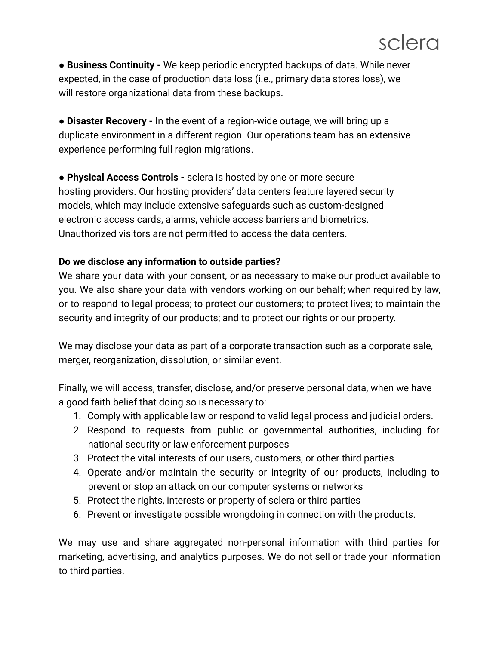● **Business Continuity -** We keep periodic encrypted backups of data. While never expected, in the case of production data loss (i.e., primary data stores loss), we will restore organizational data from these backups.

● **Disaster Recovery -** In the event of a region-wide outage, we will bring up a duplicate environment in a different region. Our operations team has an extensive experience performing full region migrations.

● **Physical Access Controls -** sclera is hosted by one or more secure hosting providers. Our hosting providers' data centers feature layered security models, which may include extensive safeguards such as custom-designed electronic access cards, alarms, vehicle access barriers and biometrics. Unauthorized visitors are not permitted to access the data centers.

# **Do we disclose any information to outside parties?**

We share your data with your consent, or as necessary to make our product available to you. We also share your data with vendors working on our behalf; when required by law, or to respond to legal process; to protect our customers; to protect lives; to maintain the security and integrity of our products; and to protect our rights or our property.

We may disclose your data as part of a corporate transaction such as a corporate sale, merger, reorganization, dissolution, or similar event.

Finally, we will access, transfer, disclose, and/or preserve personal data, when we have a good faith belief that doing so is necessary to:

- 1. Comply with applicable law or respond to valid legal process and judicial orders.
- 2. Respond to requests from public or governmental authorities, including for national security or law enforcement purposes
- 3. Protect the vital interests of our users, customers, or other third parties
- 4. Operate and/or maintain the security or integrity of our products, including to prevent or stop an attack on our computer systems or networks
- 5. Protect the rights, interests or property of sclera or third parties
- 6. Prevent or investigate possible wrongdoing in connection with the products.

We may use and share aggregated non-personal information with third parties for marketing, advertising, and analytics purposes. We do not sell or trade your information to third parties.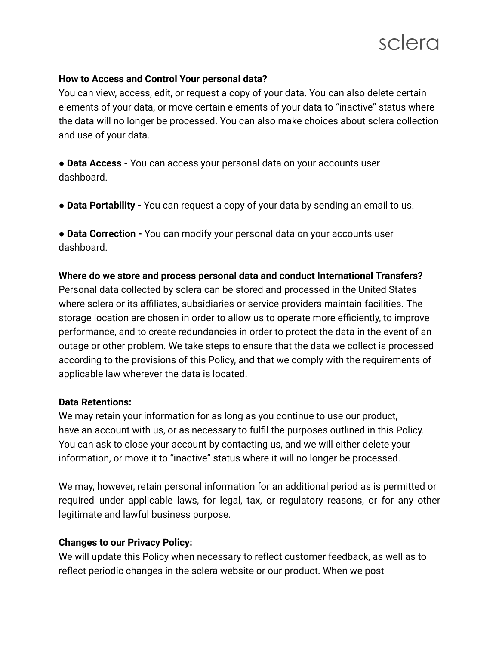

#### **How to Access and Control Your personal data?**

You can view, access, edit, or request a copy of your data. You can also delete certain elements of your data, or move certain elements of your data to "inactive" status where the data will no longer be processed. You can also make choices about sclera collection and use of your data.

● **Data Access -** You can access your personal data on your accounts user dashboard.

● **Data Portability -** You can request a copy of your data by sending an email to us.

● **Data Correction -** You can modify your personal data on your accounts user dashboard.

#### **Where do we store and process personal data and conduct International Transfers?**

Personal data collected by sclera can be stored and processed in the United States where sclera or its affiliates, subsidiaries or service providers maintain facilities. The storage location are chosen in order to allow us to operate more efficiently, to improve performance, and to create redundancies in order to protect the data in the event of an outage or other problem. We take steps to ensure that the data we collect is processed according to the provisions of this Policy, and that we comply with the requirements of applicable law wherever the data is located.

#### **Data Retentions:**

We may retain your information for as long as you continue to use our product, have an account with us, or as necessary to fulfil the purposes outlined in this Policy. You can ask to close your account by contacting us, and we will either delete your information, or move it to "inactive" status where it will no longer be processed.

We may, however, retain personal information for an additional period as is permitted or required under applicable laws, for legal, tax, or regulatory reasons, or for any other legitimate and lawful business purpose.

# **Changes to our Privacy Policy:**

We will update this Policy when necessary to reflect customer feedback, as well as to reflect periodic changes in the sclera website or our product. When we post